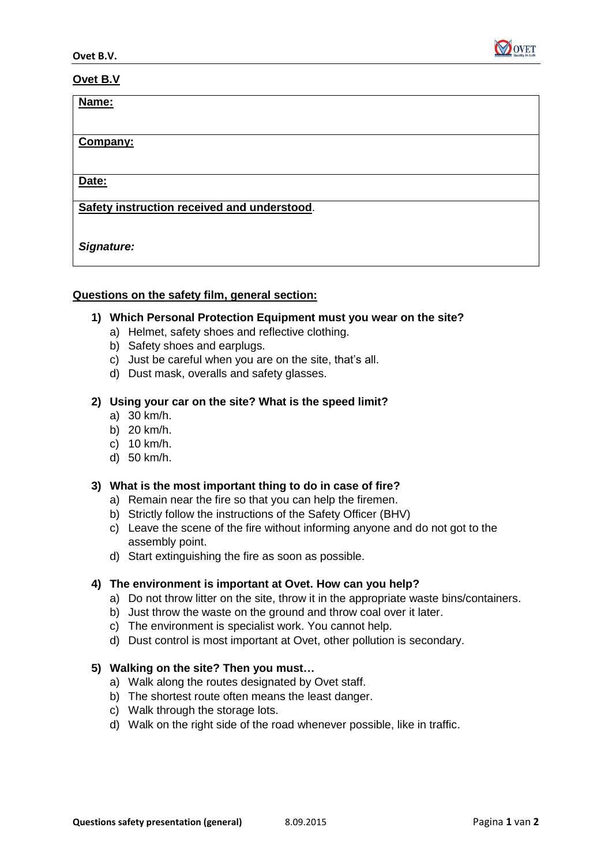

### **Ovet B.V**

| Name:                                       |  |
|---------------------------------------------|--|
|                                             |  |
| Company:                                    |  |
|                                             |  |
| Date:                                       |  |
| Safety instruction received and understood. |  |
|                                             |  |
|                                             |  |
| Signature:                                  |  |

### **Questions on the safety film, general section:**

### **1) Which Personal Protection Equipment must you wear on the site?**

- a) Helmet, safety shoes and reflective clothing.
- b) Safety shoes and earplugs.
- c) Just be careful when you are on the site, that's all.
- d) Dust mask, overalls and safety glasses.

### **2) Using your car on the site? What is the speed limit?**

- a) 30 km/h.
- b) 20 km/h.
- c) 10 km/h.
- d) 50 km/h.

# **3) What is the most important thing to do in case of fire?**

- a) Remain near the fire so that you can help the firemen.
- b) Strictly follow the instructions of the Safety Officer (BHV)
- c) Leave the scene of the fire without informing anyone and do not got to the assembly point.
- d) Start extinguishing the fire as soon as possible.

# **4) The environment is important at Ovet. How can you help?**

- a) Do not throw litter on the site, throw it in the appropriate waste bins/containers.
- b) Just throw the waste on the ground and throw coal over it later.
- c) The environment is specialist work. You cannot help.
- d) Dust control is most important at Ovet, other pollution is secondary.
- **5) Walking on the site? Then you must…**
	- a) Walk along the routes designated by Ovet staff.
	- b) The shortest route often means the least danger.
	- c) Walk through the storage lots.
	- d) Walk on the right side of the road whenever possible, like in traffic.